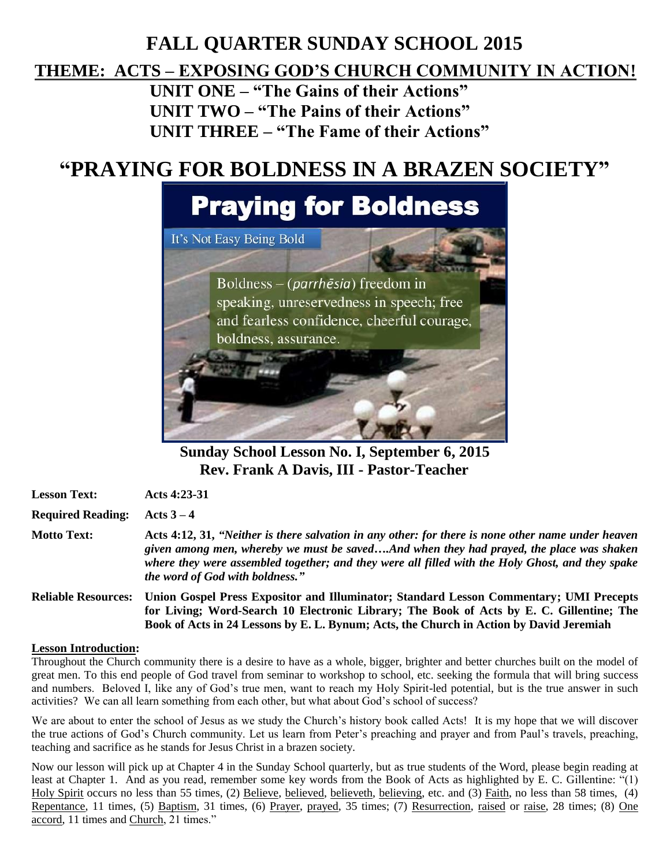# **FALL QUARTER SUNDAY SCHOOL 2015**

## **THEME: ACTS – EXPOSING GOD'S CHURCH COMMUNITY IN ACTION!**

**UNIT ONE – "The Gains of their Actions" UNIT TWO – "The Pains of their Actions" UNIT THREE – "The Fame of their Actions"**

# **"PRAYING FOR BOLDNESS IN A BRAZEN SOCIETY"**



**Sunday School Lesson No. I, September 6, 2015 Rev. Frank A Davis, III - Pastor-Teacher**

| <b>Lesson Text:</b>        | Acts 4:23-31                                                                                                                                                                                                                                                                                                                         |
|----------------------------|--------------------------------------------------------------------------------------------------------------------------------------------------------------------------------------------------------------------------------------------------------------------------------------------------------------------------------------|
| <b>Required Reading:</b>   | Acts $3-4$                                                                                                                                                                                                                                                                                                                           |
| <b>Motto Text:</b>         | Acts 4:12, 31, "Neither is there salvation in any other: for there is none other name under heaven<br>given among men, whereby we must be savedAnd when they had prayed, the place was shaken<br>where they were assembled together; and they were all filled with the Holy Ghost, and they spake<br>the word of God with boldness." |
| <b>Reliable Resources:</b> | Union Gospel Press Expositor and Illuminator; Standard Lesson Commentary; UMI Precepts<br>for Living; Word-Search 10 Electronic Library; The Book of Acts by E. C. Gillentine; The<br>Book of Acts in 24 Lessons by E. L. Bynum; Acts, the Church in Action by David Jeremiah                                                        |

#### **Lesson Introduction:**

Throughout the Church community there is a desire to have as a whole, bigger, brighter and better churches built on the model of great men. To this end people of God travel from seminar to workshop to school, etc. seeking the formula that will bring success and numbers. Beloved I, like any of God's true men, want to reach my Holy Spirit-led potential, but is the true answer in such activities? We can all learn something from each other, but what about God's school of success?

We are about to enter the school of Jesus as we study the Church's history book called Acts! It is my hope that we will discover the true actions of God's Church community. Let us learn from Peter's preaching and prayer and from Paul's travels, preaching, teaching and sacrifice as he stands for Jesus Christ in a brazen society.

Now our lesson will pick up at Chapter 4 in the Sunday School quarterly, but as true students of the Word, please begin reading at least at Chapter 1. And as you read, remember some key words from the Book of Acts as highlighted by E. C. Gillentine: "(1) Holy Spirit occurs no less than 55 times, (2) Believe, believed, believeth, believing, etc. and (3) Faith, no less than 58 times, (4) Repentance, 11 times, (5) Baptism, 31 times, (6) Prayer, prayed, 35 times; (7) Resurrection, raised or raise, 28 times; (8) One accord, 11 times and Church, 21 times."